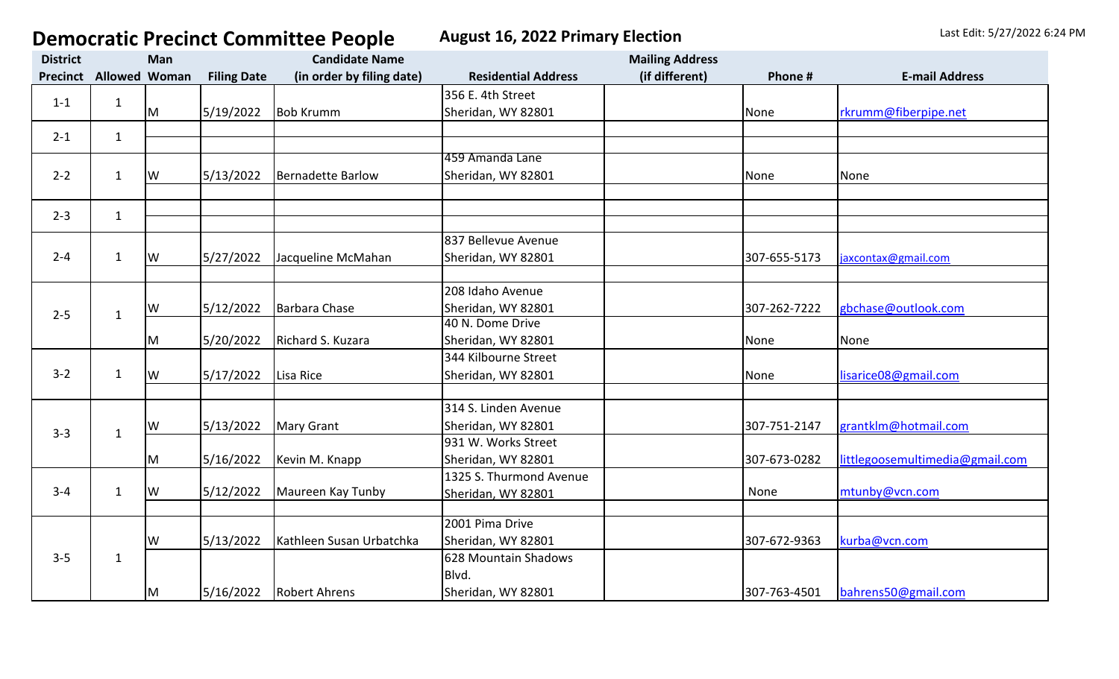**Democratic Precinct Committee People** August 16, 2022 Primary Election Last Edit: 5/27/2022 6:24 PM

| <b>District</b> |                      | Man        |                    | <b>Candidate Name</b>     |                            | <b>Mailing Address</b> |              |                                 |
|-----------------|----------------------|------------|--------------------|---------------------------|----------------------------|------------------------|--------------|---------------------------------|
| <b>Precinct</b> | <b>Allowed Woman</b> |            | <b>Filing Date</b> | (in order by filing date) | <b>Residential Address</b> | (if different)         | Phone #      | <b>E-mail Address</b>           |
| $1 - 1$         | $\mathbf{1}$         |            |                    |                           | 356 E. 4th Street          |                        |              |                                 |
|                 |                      | M          | 5/19/2022          | <b>Bob Krumm</b>          | Sheridan, WY 82801         |                        | None         | rkrumm@fiberpipe.net            |
| $2 - 1$         | $\mathbf{1}$         |            |                    |                           |                            |                        |              |                                 |
|                 |                      |            |                    |                           |                            |                        |              |                                 |
| $2 - 2$         | $\mathbf{1}$         |            |                    |                           | 459 Amanda Lane            |                        |              |                                 |
|                 |                      | lw         | 5/13/2022          | Bernadette Barlow         | Sheridan, WY 82801         |                        | None         | None                            |
|                 |                      |            |                    |                           |                            |                        |              |                                 |
| $2 - 3$         | $\mathbf{1}$         |            |                    |                           |                            |                        |              |                                 |
|                 |                      |            |                    |                           | 837 Bellevue Avenue        |                        |              |                                 |
| $2 - 4$         | $\mathbf 1$          | <b>I</b> w | 5/27/2022          | Jacqueline McMahan        | Sheridan, WY 82801         |                        | 307-655-5173 | jaxcontax@gmail.com             |
|                 |                      |            |                    |                           |                            |                        |              |                                 |
|                 |                      |            |                    |                           | 208 Idaho Avenue           |                        |              |                                 |
|                 |                      | lw         | 5/12/2022          | Barbara Chase             | Sheridan, WY 82801         |                        | 307-262-7222 | gbchase@outlook.com             |
| $2 - 5$         | $\mathbf{1}$         |            |                    |                           | 40 N. Dome Drive           |                        |              |                                 |
|                 |                      | M          | 5/20/2022          | Richard S. Kuzara         | Sheridan, WY 82801         |                        | None         | None                            |
|                 |                      |            |                    |                           | 344 Kilbourne Street       |                        |              |                                 |
| $3 - 2$         | $\mathbf{1}$         | <b>W</b>   | 5/17/2022          | Lisa Rice                 | Sheridan, WY 82801         |                        | None         | lisarice08@gmail.com            |
|                 |                      |            |                    |                           |                            |                        |              |                                 |
| $3 - 3$         | $\mathbf{1}$         |            |                    |                           | 314 S. Linden Avenue       |                        |              |                                 |
|                 |                      | lw         | 5/13/2022          | <b>Mary Grant</b>         | Sheridan, WY 82801         |                        | 307-751-2147 | grantklm@hotmail.com            |
|                 |                      |            |                    |                           | 931 W. Works Street        |                        |              |                                 |
|                 |                      | lм         | 5/16/2022          | Kevin M. Knapp            | Sheridan, WY 82801         |                        | 307-673-0282 | littlegoosemultimedia@gmail.com |
| $3 - 4$         | $\mathbf{1}$         |            |                    |                           | 1325 S. Thurmond Avenue    |                        |              |                                 |
|                 |                      | <b>W</b>   | 5/12/2022          | Maureen Kay Tunby         | Sheridan, WY 82801         |                        | None         | mtunby@vcn.com                  |
|                 |                      |            |                    |                           |                            |                        |              |                                 |
|                 | $\mathbf{1}$         |            |                    |                           | 2001 Pima Drive            |                        |              |                                 |
| $3 - 5$         |                      | W          | 5/13/2022          | Kathleen Susan Urbatchka  | Sheridan, WY 82801         |                        | 307-672-9363 | kurba@vcn.com                   |
|                 |                      |            |                    |                           | 628 Mountain Shadows       |                        |              |                                 |
|                 |                      |            |                    |                           | Blvd.                      |                        |              |                                 |
|                 |                      | IМ         |                    | 5/16/2022 Robert Ahrens   | Sheridan, WY 82801         |                        | 307-763-4501 | bahrens50@gmail.com             |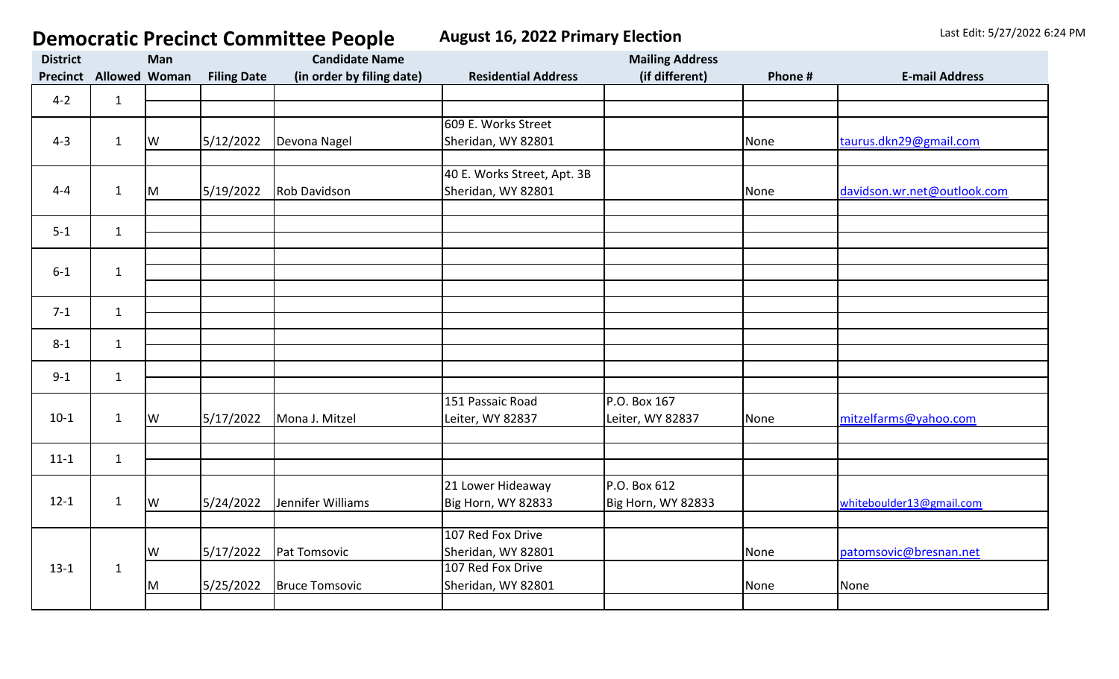## **Democratic Precinct Committee People** August 16, 2022 Primary Election Last Edit: 5/27/2022 6:24 PM

| <b>District</b> | Man                  |    |                    | <b>Candidate Name</b>     |                             | <b>Mailing Address</b> |         |                             |
|-----------------|----------------------|----|--------------------|---------------------------|-----------------------------|------------------------|---------|-----------------------------|
| <b>Precinct</b> | <b>Allowed Woman</b> |    | <b>Filing Date</b> | (in order by filing date) | <b>Residential Address</b>  | (if different)         | Phone # | <b>E-mail Address</b>       |
| $4 - 2$         |                      |    |                    |                           |                             |                        |         |                             |
|                 | $\mathbf{1}$         |    |                    |                           |                             |                        |         |                             |
|                 |                      |    |                    |                           | 609 E. Works Street         |                        |         |                             |
| $4 - 3$         | $\mathbf{1}$         | lw | 5/12/2022          | Devona Nagel              | Sheridan, WY 82801          |                        | None    | taurus.dkn29@gmail.com      |
|                 |                      |    |                    |                           |                             |                        |         |                             |
|                 |                      |    |                    |                           | 40 E. Works Street, Apt. 3B |                        |         |                             |
| $4 - 4$         | $\mathbf{1}$         | M  | 5/19/2022          | <b>Rob Davidson</b>       | Sheridan, WY 82801          |                        | None    | davidson.wr.net@outlook.com |
|                 |                      |    |                    |                           |                             |                        |         |                             |
| $5 - 1$         | $\mathbf{1}$         |    |                    |                           |                             |                        |         |                             |
|                 |                      |    |                    |                           |                             |                        |         |                             |
|                 |                      |    |                    |                           |                             |                        |         |                             |
| $6-1$           | $\mathbf{1}$         |    |                    |                           |                             |                        |         |                             |
|                 |                      |    |                    |                           |                             |                        |         |                             |
| $7 - 1$         | $\mathbf{1}$         |    |                    |                           |                             |                        |         |                             |
|                 |                      |    |                    |                           |                             |                        |         |                             |
| $8 - 1$         | $\mathbf{1}$         |    |                    |                           |                             |                        |         |                             |
|                 |                      |    |                    |                           |                             |                        |         |                             |
| $9 - 1$         | $\mathbf{1}$         |    |                    |                           |                             |                        |         |                             |
|                 |                      |    |                    |                           | 151 Passaic Road            | P.O. Box 167           |         |                             |
| $10-1$          | $\mathbf{1}$         |    |                    |                           |                             |                        |         |                             |
|                 |                      | lw | 5/17/2022          | Mona J. Mitzel            | Leiter, WY 82837            | Leiter, WY 82837       | None    | mitzelfarms@yahoo.com       |
|                 |                      |    |                    |                           |                             |                        |         |                             |
| $11 - 1$        | $\mathbf{1}$         |    |                    |                           |                             |                        |         |                             |
|                 |                      |    |                    |                           |                             | P.O. Box 612           |         |                             |
| $12-1$          | $\mathbf{1}$         |    |                    |                           | 21 Lower Hideaway           |                        |         |                             |
|                 |                      | lw | 5/24/2022          | Jennifer Williams         | Big Horn, WY 82833          | Big Horn, WY 82833     |         | whiteboulder13@gmail.com    |
|                 |                      |    |                    |                           | 107 Red Fox Drive           |                        |         |                             |
|                 |                      | W  | 5/17/2022          | Pat Tomsovic              | Sheridan, WY 82801          |                        | None    | patomsovic@bresnan.net      |
| $13-1$          | $\mathbf{1}$         |    |                    |                           | 107 Red Fox Drive           |                        |         |                             |
|                 |                      |    | 5/25/2022          | <b>Bruce Tomsovic</b>     | Sheridan, WY 82801          |                        | None    | None                        |
|                 |                      | M  |                    |                           |                             |                        |         |                             |
|                 |                      |    |                    |                           |                             |                        |         |                             |